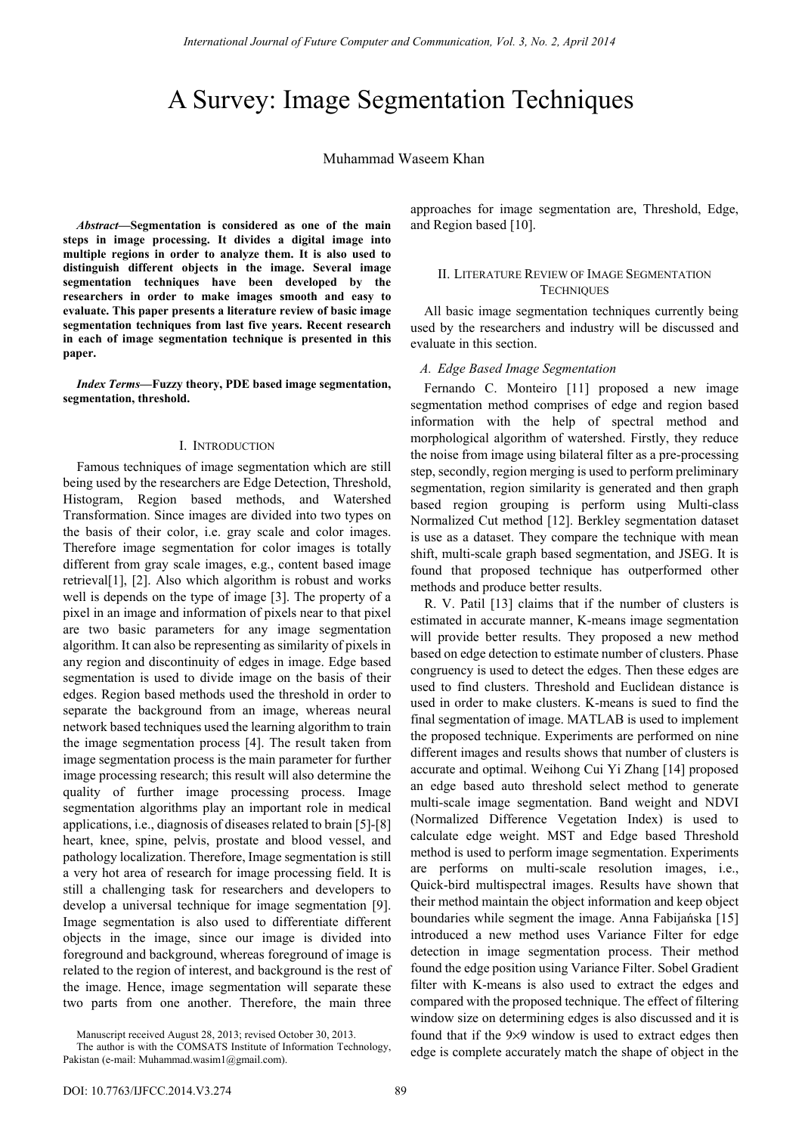# A Survey: Image Segmentation Techniques

Muhammad Waseem Khan

*Abstract***—Segmentation is considered as one of the main steps in image processing. It divides a digital image into multiple regions in order to analyze them. It is also used to distinguish different objects in the image. Several image segmentation techniques have been developed by the researchers in order to make images smooth and easy to evaluate. This paper presents a literature review of basic image segmentation techniques from last five years. Recent research in each of image segmentation technique is presented in this paper.** 

*Index Terms***—Fuzzy theory, PDE based image segmentation, segmentation, threshold.** 

#### I. INTRODUCTION

Famous techniques of image segmentation which are still being used by the researchers are Edge Detection, Threshold, Histogram, Region based methods, and Watershed Transformation. Since images are divided into two types on the basis of their color, i.e. gray scale and color images. Therefore image segmentation for color images is totally different from gray scale images, e.g., content based image retrieval[1], [2]. Also which algorithm is robust and works well is depends on the type of image [3]. The property of a pixel in an image and information of pixels near to that pixel are two basic parameters for any image segmentation algorithm. It can also be representing as similarity of pixels in any region and discontinuity of edges in image. Edge based segmentation is used to divide image on the basis of their edges. Region based methods used the threshold in order to separate the background from an image, whereas neural network based techniques used the learning algorithm to train the image segmentation process [4]. The result taken from image segmentation process is the main parameter for further image processing research; this result will also determine the quality of further image processing process. Image segmentation algorithms play an important role in medical applications, i.e., diagnosis of diseases related to brain [5]-[8] heart, knee, spine, pelvis, prostate and blood vessel, and pathology localization. Therefore, Image segmentation is still a very hot area of research for image processing field. It is still a challenging task for researchers and developers to develop a universal technique for image segmentation [9]. Image segmentation is also used to differentiate different objects in the image, since our image is divided into foreground and background, whereas foreground of image is related to the region of interest, and background is the rest of the image. Hence, image segmentation will separate these two parts from one another. Therefore, the main three

Manuscript received August 28, 2013; revised October 30, 2013.

approaches for image segmentation are, Threshold, Edge, and Region based [10].

## II. LITERATURE REVIEW OF IMAGE SEGMENTATION **TECHNIQUES**

All basic image segmentation techniques currently being used by the researchers and industry will be discussed and evaluate in this section.

#### *A. Edge Based Image Segmentation*

Fernando C. Monteiro [11] proposed a new image segmentation method comprises of edge and region based information with the help of spectral method and morphological algorithm of watershed. Firstly, they reduce the noise from image using bilateral filter as a pre-processing step, secondly, region merging is used to perform preliminary segmentation, region similarity is generated and then graph based region grouping is perform using Multi-class Normalized Cut method [12]. Berkley segmentation dataset is use as a dataset. They compare the technique with mean shift, multi-scale graph based segmentation, and JSEG. It is found that proposed technique has outperformed other methods and produce better results.

R. V. Patil [13] claims that if the number of clusters is estimated in accurate manner, K-means image segmentation will provide better results. They proposed a new method based on edge detection to estimate number of clusters. Phase congruency is used to detect the edges. Then these edges are used to find clusters. Threshold and Euclidean distance is used in order to make clusters. K-means is sued to find the final segmentation of image. MATLAB is used to implement the proposed technique. Experiments are performed on nine different images and results shows that number of clusters is accurate and optimal. Weihong Cui Yi Zhang [14] proposed an edge based auto threshold select method to generate multi-scale image segmentation. Band weight and NDVI (Normalized Difference Vegetation Index) is used to calculate edge weight. MST and Edge based Threshold method is used to perform image segmentation. Experiments are performs on multi-scale resolution images, i.e., Quick-bird multispectral images. Results have shown that their method maintain the object information and keep object boundaries while segment the image. Anna Fabijańska [15] introduced a new method uses Variance Filter for edge detection in image segmentation process. Their method found the edge position using Variance Filter. Sobel Gradient filter with K-means is also used to extract the edges and compared with the proposed technique. The effect of filtering window size on determining edges is also discussed and it is found that if the 9×9 window is used to extract edges then edge is complete accurately match the shape of object in the

The author is with the COMSATS Institute of Information Technology, Pakistan (e-mail: Muhammad.wasim1@gmail.com).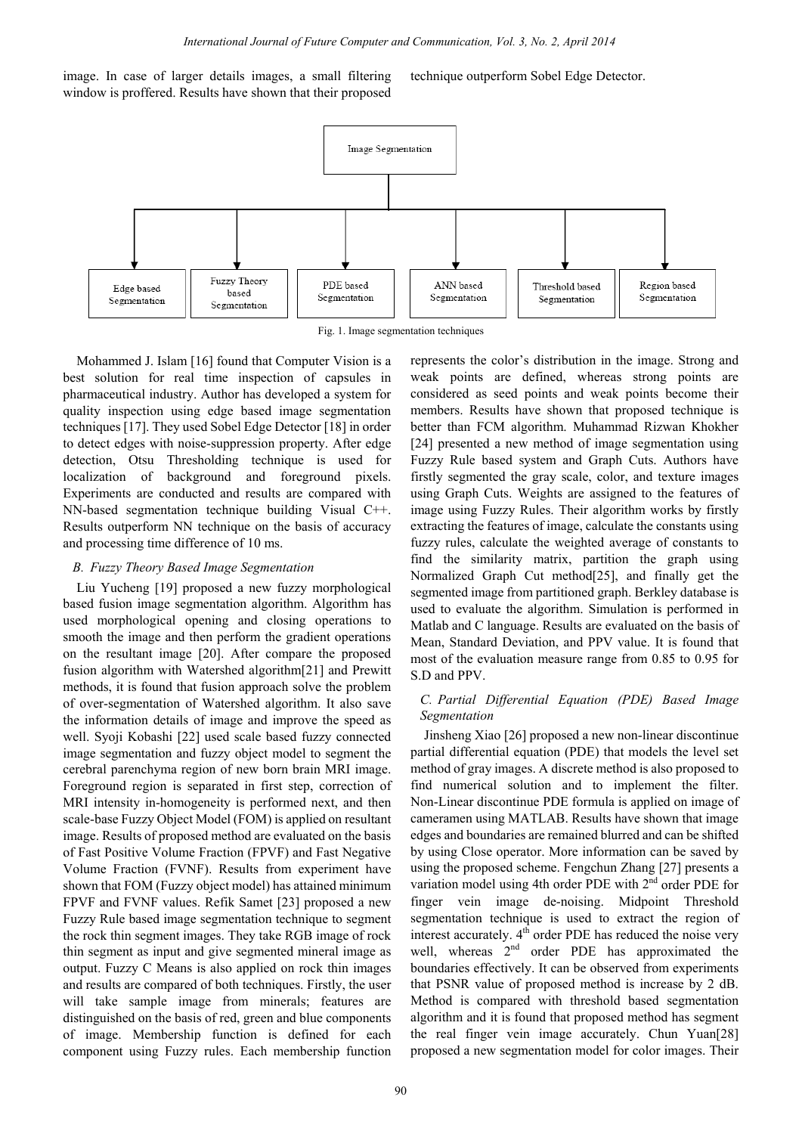image. In case of larger details images, a small filtering window is proffered. Results have shown that their proposed technique outperform Sobel Edge Detector.



Fig. 1. Image segmentation techniques

Mohammed J. Islam [16] found that Computer Vision is a best solution for real time inspection of capsules in pharmaceutical industry. Author has developed a system for quality inspection using edge based image segmentation techniques [17]. They used Sobel Edge Detector [18] in order to detect edges with noise-suppression property. After edge detection, Otsu Thresholding technique is used for localization of background and foreground pixels. Experiments are conducted and results are compared with  $NN$ -based segmentation technique building Visual  $C_{++}$ . Results outperform NN technique on the basis of accuracy and processing time difference of 10 ms.

#### *B. Fuzzy Theory Based Image Segmentation*

Liu Yucheng [19] proposed a new fuzzy morphological based fusion image segmentation algorithm. Algorithm has used morphological opening and closing operations to smooth the image and then perform the gradient operations on the resultant image [20]. After compare the proposed fusion algorithm with Watershed algorithm[21] and Prewitt methods, it is found that fusion approach solve the problem of over-segmentation of Watershed algorithm. It also save the information details of image and improve the speed as well. Syoji Kobashi [22] used scale based fuzzy connected image segmentation and fuzzy object model to segment the cerebral parenchyma region of new born brain MRI image. Foreground region is separated in first step, correction of MRI intensity in-homogeneity is performed next, and then scale-base Fuzzy Object Model (FOM) is applied on resultant image. Results of proposed method are evaluated on the basis of Fast Positive Volume Fraction (FPVF) and Fast Negative Volume Fraction (FVNF). Results from experiment have shown that FOM (Fuzzy object model) has attained minimum FPVF and FVNF values. Refik Samet [23] proposed a new Fuzzy Rule based image segmentation technique to segment the rock thin segment images. They take RGB image of rock thin segment as input and give segmented mineral image as output. Fuzzy C Means is also applied on rock thin images and results are compared of both techniques. Firstly, the user will take sample image from minerals; features are distinguished on the basis of red, green and blue components of image. Membership function is defined for each component using Fuzzy rules. Each membership function Normational Journal of Future Computer and Communication, Vol. 3, No. 2, April 2014<br>
ger details images, a small filtering technique outperform Sobel Ldge Del<br>
International of Future Symmetrics<br>
International of Future Co

represents the color's distribution in the image. Strong and weak points are defined, whereas strong points are considered as seed points and weak points become their members. Results have shown that proposed technique is better than FCM algorithm. Muhammad Rizwan Khokher [24] presented a new method of image segmentation using Fuzzy Rule based system and Graph Cuts. Authors have firstly segmented the gray scale, color, and texture images using Graph Cuts. Weights are assigned to the features of image using Fuzzy Rules. Their algorithm works by firstly extracting the features of image, calculate the constants using fuzzy rules, calculate the weighted average of constants to find the similarity matrix, partition the graph using Normalized Graph Cut method[25], and finally get the segmented image from partitioned graph. Berkley database is used to evaluate the algorithm. Simulation is performed in Matlab and C language. Results are evaluated on the basis of Mean, Standard Deviation, and PPV value. It is found that most of the evaluation measure range from 0.85 to 0.95 for S.D and PPV.

## *C. Partial Differential Equation (PDE) Based Image Segmentation*

Jinsheng Xiao [26] proposed a new non-linear discontinue partial differential equation (PDE) that models the level set method of gray images. A discrete method is also proposed to find numerical solution and to implement the filter. Non-Linear discontinue PDE formula is applied on image of cameramen using MATLAB. Results have shown that image edges and boundaries are remained blurred and can be shifted by using Close operator. More information can be saved by using the proposed scheme. Fengchun Zhang [27] presents a variation model using 4th order PDE with 2<sup>nd</sup> order PDE for finger vein image de-noising. Midpoint Threshold segmentation technique is used to extract the region of interest accurately. 4<sup>th</sup> order PDE has reduced the noise very well, whereas  $2<sup>nd</sup>$  order PDE has approximated the boundaries effectively. It can be observed from experiments that PSNR value of proposed method is increase by 2 dB. Method is compared with threshold based segmentation algorithm and it is found that proposed method has segment the real finger vein image accurately. Chun Yuan[28] proposed a new segmentation model for color images. Their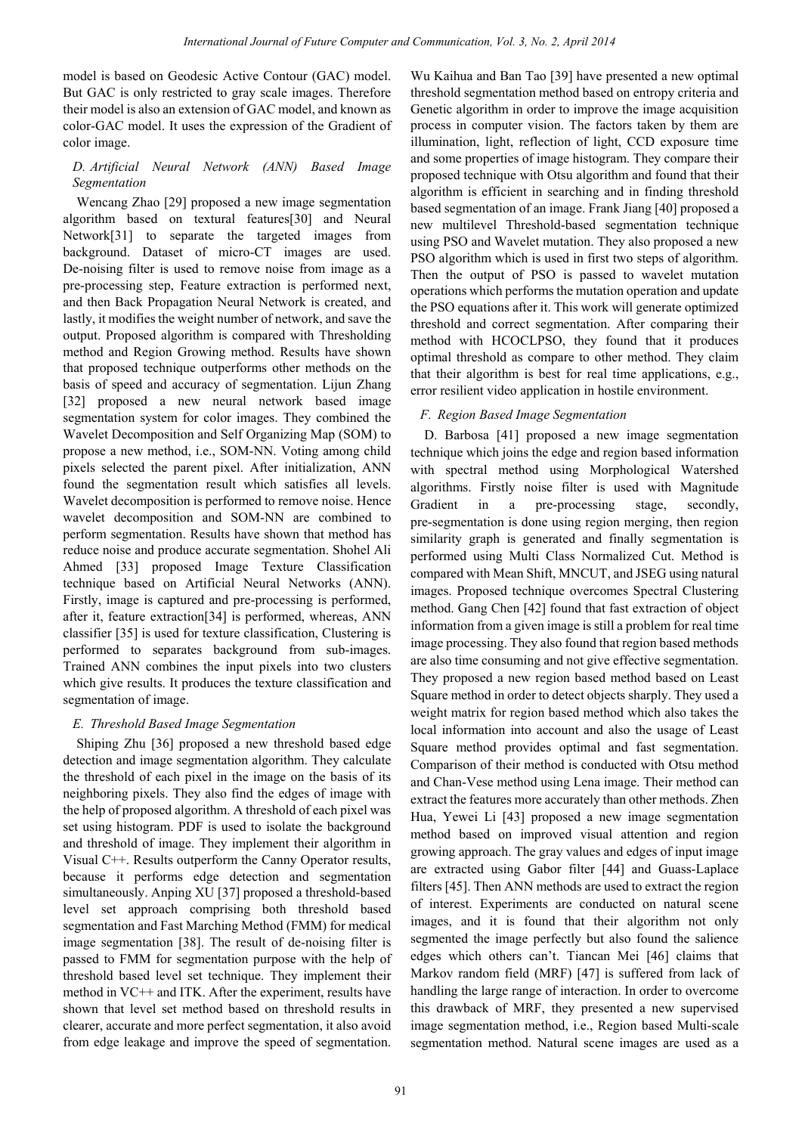model is based on Geodesic Active Contour (GAC) model. But GAC is only restricted to gray scale images. Therefore their model is also an extension of GAC model, and known as color-GAC model. It uses the expression of the Gradient of color image.

## *D. Artificial Neural Network (ANN) Based Image Segmentation*

Wencang Zhao [29] proposed a new image segmentation algorithm based on textural features[30] and Neural Network[31] to separate the targeted images from background. Dataset of micro-CT images are used. De-noising filter is used to remove noise from image as a pre-processing step, Feature extraction is performed next, and then Back Propagation Neural Network is created, and lastly, it modifies the weight number of network, and save the output. Proposed algorithm is compared with Thresholding method and Region Growing method. Results have shown that proposed technique outperforms other methods on the basis of speed and accuracy of segmentation. Lijun Zhang [32] proposed a new neural network based image segmentation system for color images. They combined the Wavelet Decomposition and Self Organizing Map (SOM) to propose a new method, i.e., SOM-NN. Voting among child pixels selected the parent pixel. After initialization, ANN found the segmentation result which satisfies all levels. Wavelet decomposition is performed to remove noise. Hence wavelet decomposition and SOM-NN are combined to perform segmentation. Results have shown that method has reduce noise and produce accurate segmentation. Shohel Ali Ahmed [33] proposed Image Texture Classification technique based on Artificial Neural Networks (ANN). Firstly, image is captured and pre-processing is performed, after it, feature extraction[34] is performed, whereas, ANN classifier [35] is used for texture classification, Clustering is performed to separates background from sub-images. Trained ANN combines the input pixels into two clusters which give results. It produces the texture classification and segmentation of image.

## *E. Threshold Based Image Segmentation*

Shiping Zhu [36] proposed a new threshold based edge detection and image segmentation algorithm. They calculate the threshold of each pixel in the image on the basis of its neighboring pixels. They also find the edges of image with the help of proposed algorithm. A threshold of each pixel was set using histogram. PDF is used to isolate the background and threshold of image. They implement their algorithm in Visual C++. Results outperform the Canny Operator results, because it performs edge detection and segmentation simultaneously. Anping XU [37] proposed a threshold-based level set approach comprising both threshold based segmentation and Fast Marching Method (FMM) for medical image segmentation [38]. The result of de-noising filter is passed to FMM for segmentation purpose with the help of threshold based level set technique. They implement their method in VC++ and ITK. After the experiment, results have shown that level set method based on threshold results in clearer, accurate and more perfect segmentation, it also avoid from edge leakage and improve the speed of segmentation.

Wu Kaihua and Ban Tao [39] have presented a new optimal threshold segmentation method based on entropy criteria and Genetic algorithm in order to improve the image acquisition process in computer vision. The factors taken by them are illumination, light, reflection of light, CCD exposure time and some properties of image histogram. They compare their proposed technique with Otsu algorithm and found that their algorithm is efficient in searching and in finding threshold based segmentation of an image. Frank Jiang [40] proposed a new multilevel Threshold-based segmentation technique using PSO and Wavelet mutation. They also proposed a new PSO algorithm which is used in first two steps of algorithm. Then the output of PSO is passed to wavelet mutation operations which performs the mutation operation and update the PSO equations after it. This work will generate optimized threshold and correct segmentation. After comparing their method with HCOCLPSO, they found that it produces optimal threshold as compare to other method. They claim that their algorithm is best for real time applications, e.g., error resilient video application in hostile environment.

## *F. Region Based Image Segmentation*

D. Barbosa [41] proposed a new image segmentation technique which joins the edge and region based information with spectral method using Morphological Watershed algorithms. Firstly noise filter is used with Magnitude Gradient in a pre-processing stage, secondly, pre-segmentation is done using region merging, then region similarity graph is generated and finally segmentation is performed using Multi Class Normalized Cut. Method is compared with Mean Shift, MNCUT, and JSEG using natural images. Proposed technique overcomes Spectral Clustering method. Gang Chen [42] found that fast extraction of object information from a given image is still a problem for real time image processing. They also found that region based methods are also time consuming and not give effective segmentation. They proposed a new region based method based on Least Square method in order to detect objects sharply. They used a weight matrix for region based method which also takes the local information into account and also the usage of Least Square method provides optimal and fast segmentation. Comparison of their method is conducted with Otsu method and Chan-Vese method using Lena image. Their method can extract the features more accurately than other methods. Zhen Hua, Yewei Li [43] proposed a new image segmentation method based on improved visual attention and region growing approach. The gray values and edges of input image are extracted using Gabor filter [44] and Guass-Laplace filters [45]. Then ANN methods are used to extract the region of interest. Experiments are conducted on natural scene images, and it is found that their algorithm not only segmented the image perfectly but also found the salience edges which others can't. Tiancan Mei [46] claims that Markov random field (MRF) [47] is suffered from lack of handling the large range of interaction. In order to overcome this drawback of MRF, they presented a new supervised image segmentation method, i.e., Region based Multi-scale segmentation method. Natural scene images are used as a *International Journal of Future Computer and Communication, Fed. 3, No. 2, April 2014<br>Usial cheige Theoretic CoC model. We Kahlus and Fan Tap (191) have provided between the computer and Communication (IOAC model) and tap*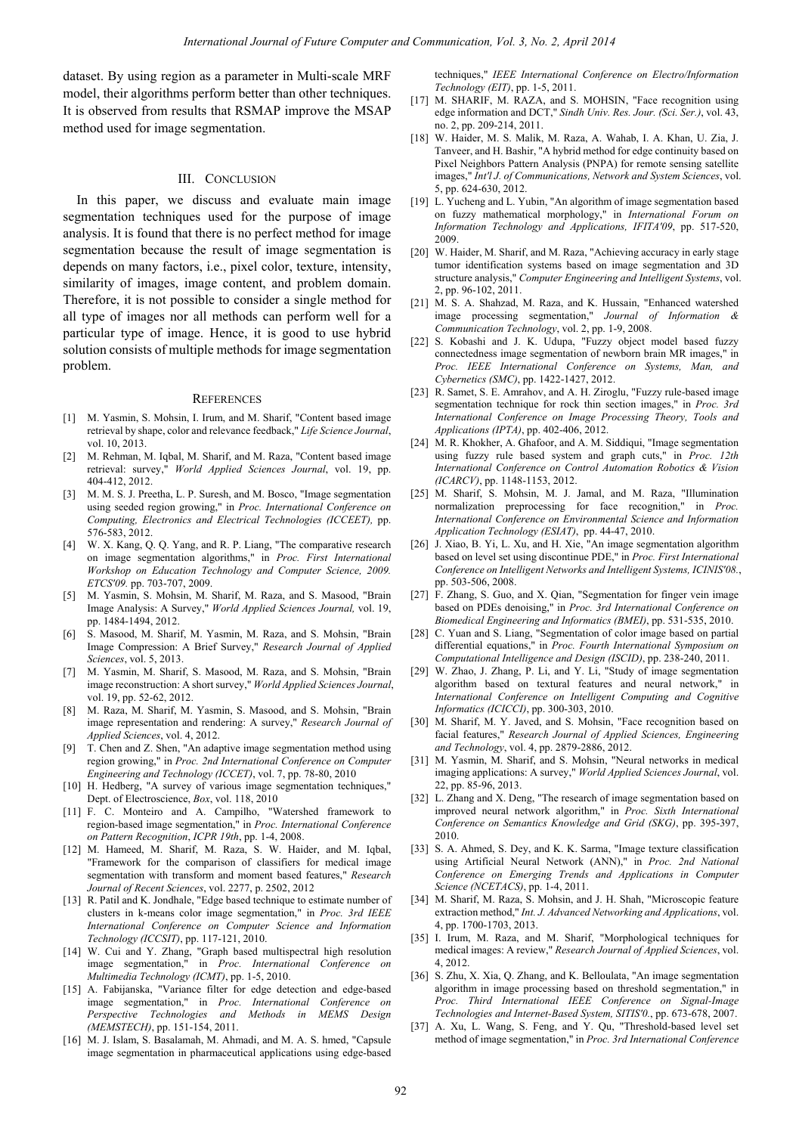dataset. By using region as a parameter in Multi-scale MRF model, their algorithms perform better than other techniques. It is observed from results that RSMAP improve the MSAP method used for image segmentation.

#### III. CONCLUSION

In this paper, we discuss and evaluate main image segmentation techniques used for the purpose of image analysis. It is found that there is no perfect method for image segmentation because the result of image segmentation is depends on many factors, i.e., pixel color, texture, intensity, similarity of images, image content, and problem domain. Therefore, it is not possible to consider a single method for all type of images nor all methods can perform well for a particular type of image. Hence, it is good to use hybrid solution consists of multiple methods for image segmentation problem. Regressions Jammati of Future Computer and Communication, Vol. 3, No. 2, April 2018<br>
2018 By Fig. 2018 By Fig. 2019 By Fig. 2019 By Fig. 2019 By Fig. 2019 By Fig. 2019 By Fig. 2019 By Fig. 2019 By Fig. 2019 By Fig. 2019 B

#### **REFERENCES**

- [1] M. Yasmin, S. Mohsin, I. Irum, and M. Sharif, "Content based image retrieval by shape, color and relevance feedback," *Life Science Journal*, vol. 10, 2013.
- [2] M. Rehman, M. Iqbal, M. Sharif, and M. Raza, "Content based image retrieval: survey," *World Applied Sciences Journal*, vol. 19, pp. 404-412, 2012.
- [3] M. M. S. J. Preetha, L. P. Suresh, and M. Bosco, "Image segmentation using seeded region growing," in *Proc. International Conference on Computing, Electronics and Electrical Technologies (ICCEET),* pp. 576-583, 2012.
- [4] W. X. Kang, Q. Q. Yang, and R. P. Liang, "The comparative research on image segmentation algorithms," in *Proc. First International Workshop on Education Technology and Computer Science, 2009. ETCS'09.* pp. 703-707, 2009.
- [5] M. Yasmin, S. Mohsin, M. Sharif, M. Raza, and S. Masood, "Brain Image Analysis: A Survey," *World Applied Sciences Journal,* vol. 19, pp. 1484-1494, 2012.
- [6] S. Masood, M. Sharif, M. Yasmin, M. Raza, and S. Mohsin, "Brain Image Compression: A Brief Survey," *Research Journal of Applied Sciences*, vol. 5, 2013.
- [7] M. Yasmin, M. Sharif, S. Masood, M. Raza, and S. Mohsin, "Brain image reconstruction: A short survey," *World Applied Sciences Journal*, vol. 19, pp. 52-62, 2012.
- [8] M. Raza, M. Sharif, M. Yasmin, S. Masood, and S. Mohsin, "Brain image representation and rendering: A survey," *Research Journal of Applied Sciences*, vol. 4, 2012.
- [9] T. Chen and Z. Shen, "An adaptive image segmentation method using region growing," in *Proc. 2nd International Conference on Computer Engineering and Technology (ICCET)*, vol. 7, pp. 78-80, 2010
- [10] H. Hedberg, "A survey of various image segmentation techniques," Dept. of Electroscience, *Box*, vol. 118, 2010
- [11] F. C. Monteiro and A. Campilho, "Watershed framework to region-based image segmentation," in *Proc. International Conference on Pattern Recognition*, *ICPR 19th*, pp. 1-4, 2008.
- [12] M. Hameed, M. Sharif, M. Raza, S. W. Haider, and M. Iqbal, "Framework for the comparison of classifiers for medical image segmentation with transform and moment based features," *Research Journal of Recent Sciences*, vol. 2277, p. 2502, 2012
- [13] R. Patil and K. Jondhale, "Edge based technique to estimate number of clusters in k-means color image segmentation," in *Proc. 3rd IEEE International Conference on Computer Science and Information Technology (ICCSIT)*, pp. 117-121, 2010.
- [14] W. Cui and Y. Zhang, "Graph based multispectral high resolution image segmentation," in *Proc. International Conference on Multimedia Technology (ICMT)*, pp. 1-5, 2010.
- [15] A. Fabijanska, "Variance filter for edge detection and edge-based image segmentation," in *Proc. International Conference on Perspective Technologies and Methods in MEMS Design (MEMSTECH)*, pp. 151-154, 2011.
- [16] M. J. Islam, S. Basalamah, M. Ahmadi, and M. A. S. hmed, "Capsule image segmentation in pharmaceutical applications using edge-based

techniques," *IEEE International Conference on Electro/Information Technology (EIT)*, pp. 1-5, 2011.

- [17] M. SHARIF, M. RAZA, and S. MOHSIN, "Face recognition using edge information and DCT," *Sindh Univ. Res. Jour. (Sci. Ser.)*, vol. 43, no. 2, pp. 209-214, 2011.
- [18] W. Haider, M. S. Malik, M. Raza, A. Wahab, I. A. Khan, U. Zia, J. Tanveer, and H. Bashir, "A hybrid method for edge continuity based on Pixel Neighbors Pattern Analysis (PNPA) for remote sensing satellite images," *Int'l J. of Communications, Network and System Sciences*, vol. 5, pp. 624-630, 2012.
- [19] L. Yucheng and L. Yubin, "An algorithm of image segmentation based on fuzzy mathematical morphology," in *International Forum on Information Technology and Applications, IFITA'09*, pp. 517-520, 2009.
- [20] W. Haider, M. Sharif, and M. Raza, "Achieving accuracy in early stage tumor identification systems based on image segmentation and 3D structure analysis," *Computer Engineering and Intelligent Systems*, vol. 2, pp. 96-102, 2011.
- [21] M. S. A. Shahzad, M. Raza, and K. Hussain, "Enhanced watershed image processing segmentation," *Journal of Information & Communication Technology*, vol. 2, pp. 1-9, 2008.
- [22] S. Kobashi and J. K. Udupa, "Fuzzy object model based fuzzy connectedness image segmentation of newborn brain MR images," in *Proc. IEEE International Conference on Systems, Man, and Cybernetics (SMC)*, pp. 1422-1427, 2012.
- [23] R. Samet, S. E. Amrahov, and A. H. Ziroglu, "Fuzzy rule-based image segmentation technique for rock thin section images," in *Proc. 3rd International Conference on Image Processing Theory, Tools and Applications (IPTA)*, pp. 402-406, 2012.
- [24] M. R. Khokher, A. Ghafoor, and A. M. Siddiqui, "Image segmentation using fuzzy rule based system and graph cuts," in *Proc. 12th International Conference on Control Automation Robotics & Vision (ICARCV)*, pp. 1148-1153, 2012.
- [25] M. Sharif, S. Mohsin, M. J. Jamal, and M. Raza, "Illumination normalization preprocessing for face recognition," in *Proc. International Conference on Environmental Science and Information Application Technology (ESIAT)*, pp. 44-47, 2010.
- [26] J. Xiao, B. Yi, L. Xu, and H. Xie, "An image segmentation algorithm based on level set using discontinue PDE," in *Proc. First International Conference on Intelligent Networks and Intelligent Systems, ICINIS'08.*, pp. 503-506, 2008.
- [27] F. Zhang, S. Guo, and X. Qian, "Segmentation for finger vein image based on PDEs denoising," in *Proc. 3rd International Conference on Biomedical Engineering and Informatics (BMEI)*, pp. 531-535, 2010.
- [28] C. Yuan and S. Liang, "Segmentation of color image based on partial differential equations," in *Proc. Fourth International Symposium on Computational Intelligence and Design (ISCID)*, pp. 238-240, 2011.
- [29] W. Zhao, J. Zhang, P. Li, and Y. Li, "Study of image segmentation algorithm based on textural features and neural network," in *International Conference on Intelligent Computing and Cognitive Informatics (ICICCI)*, pp. 300-303, 2010.
- [30] M. Sharif, M. Y. Javed, and S. Mohsin, "Face recognition based on facial features," *Research Journal of Applied Sciences, Engineering and Technology*, vol. 4, pp. 2879-2886, 2012.
- [31] M. Yasmin, M. Sharif, and S. Mohsin, "Neural networks in medical imaging applications: A survey," *World Applied Sciences Journal*, vol. 22, pp. 85-96, 2013.
- [32] L. Zhang and X. Deng, "The research of image segmentation based on improved neural network algorithm," in *Proc. Sixth International Conference on Semantics Knowledge and Grid (SKG)*, pp. 395-397, 2010.
- [33] S. A. Ahmed, S. Dey, and K. K. Sarma, "Image texture classification using Artificial Neural Network (ANN)," in *Proc. 2nd National Conference on Emerging Trends and Applications in Computer Science (NCETACS)*, pp. 1-4, 2011.
- [34] M. Sharif, M. Raza, S. Mohsin, and J. H. Shah, "Microscopic feature extraction method," *Int. J. Advanced Networking and Applications*, vol. 4, pp. 1700-1703, 2013.
- [35] I. Irum, M. Raza, and M. Sharif, "Morphological techniques for medical images: A review," *Research Journal of Applied Sciences*, vol. 4, 2012.
- [36] S. Zhu, X. Xia, Q. Zhang, and K. Belloulata, "An image segmentation algorithm in image processing based on threshold segmentation," in *Proc. Third International IEEE Conference on Signal-Image Technologies and Internet-Based System, SITIS'0.*, pp. 673-678, 2007.
- [37] A. Xu, L. Wang, S. Feng, and Y. Qu, "Threshold-based level set method of image segmentation," in *Proc. 3rd International Conference*